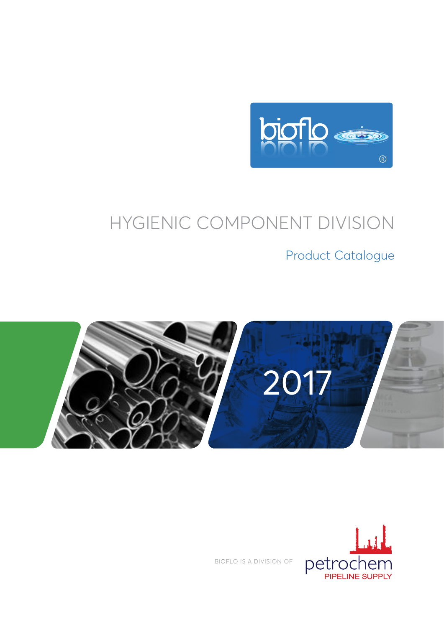

# HYGIENIC COMPONENT DIVISION

Product Catalogue





BIOFLO IS A DIVISION OF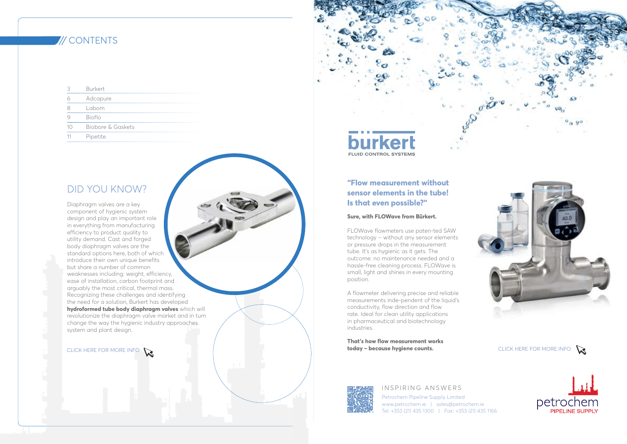## **"Flow measurement without sensor elements in the tube! Is that even possible?"**

#### **Sure, with FLOWave from Bürkert.**

FLOWave flowmeters use paten-ted SAW technology – without any sensor elements or pressure drops in the measurement tube. It's as hygienic as it gets. The outcome: no maintenance needed and a hassle-free cleaning process. FLOWave is small, light and shines in every mounting position.

**That's how flow measurement works today – because hygiene counts.** [CLICK HERE FOR MORE INFO](https://www.burkert.com/en/Landingpage/FLOWave) **CLICK HERE FOR MORE INFO** CLICK HERE FOR MORE INFO



#### IN SPIRING ANSWERS

A flowmeter delivering precise and reliable measurements inde-pendent of the liquid's conductivity, flow direction and flow rate. Ideal for clean utility applications in pharmaceutical and biotechnology industries.

> Petrochem Pipeline Supply Limited www.petrochem.ie | sales@petrochem.ie Tel: +353 (21) 435 1300 | Fax: +353 (21) 435 1166







# **/// CONTENTS**

| 3  | <b>Burkert</b>    |
|----|-------------------|
| 0  | Adcapure          |
| 8  | Labom             |
|    | Bioflo            |
| 10 | Biobore & Gaskets |
| 11 | Pipetite          |

# DID YOU KNOW?

Diaphragm valves are a key component of hygienic system design and play an important role in everything from manufacturing efficiency to product quality to utility demand. Cast and forged body diaphragm valves are the standard options here, both of which introduce their own unique benefits but share a number of common weaknesses including: weight, efficiency, ease of installation, carbon footprint and arguably the most critical, thermal mass. Recognizing these challenges and identifying the need for a solution, Burkert has developed **hydroformed tube body diaphragm valves** which will revolutionize the diaphragm valve market and in turn change the way the hygienic industry approaches system and plant design.

# **FLUID CONTROL SYSTEMS**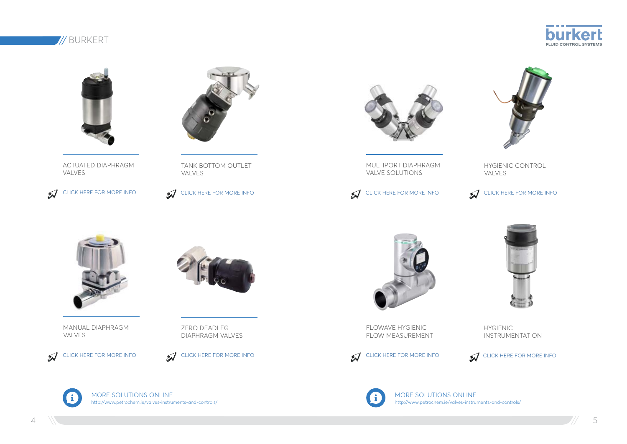MORE SOLUTIONS ONLINE http://www.petrochem.ie/valves-instruments-and-controls/



MORE SOLUTIONS ONLINE http://www.petrochem.ie/valves-instruments-and-controls/





 $\mathcal{J}$ [CLICK HERE FOR MORE INFO](https://www.burkert.com/en/Landingpage/FLOWave)



MULTIPORT DIAPHRAGM VALVE SOLUTIONS

HYGIENIC CONTROL VALVES



FLOWAVE HYGIENIC FLOW MEASUREMENT



[CLICK HERE FOR MORE INFO](http://www.burkert.com/en/sitesearch?search_term=hygienic)  $\mathcal{J}$ 



# **// BURKERT**



ACTUATED DIAPHRAGM VALVES

[CLICK HERE FOR MORE INFO](http://www.burkert.com/en/type/2031)



TANK BOTTOM OUTLET VALVES

[CLICK HERE FOR MORE INFO](https://www.burkert.com/en/type/2033)



MANUAL DIAPHRAGM VALVES

ZERO DEADLEG DIAPHRAGM VALVES



HYGIENIC INSTRUMENTATION



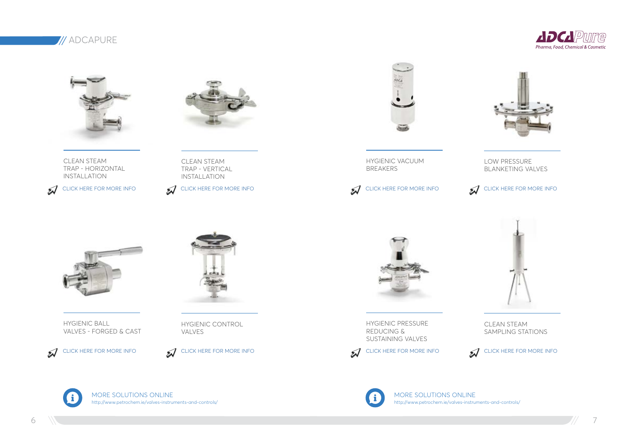# **// ADCAPURE**



CLEAN STEAM TRAP - HORIZONTAL INSTALLATION

[CLICK HERE FOR MORE INFO](http://www.valsteam.com/pic/documentos/6_15_E_TSS6_Thermostatic_clean_steam_trap_BPE-DIN-ISO_DN_15-40_5902247e98198.pdf) **CLICK HERE FOR MORE INFO** 



CLEAN STEAM TRAP - VERTICAL INSTALLATION





HYGIENIC BALL VALVES - FORGED & CAST





HYGIENIC CONTROL VALVES

HYGIENIC VACUUM BREAKERS

LOW PRESSURE BLANKETING VALVES



HYGIENIC PRESSURE REDUCING & SUSTAINING VALVES



CLEAN STEAM SAMPLING STATIONS

 $\mathcal{J}$ [CLICK HERE FOR MORE INFO](http://www.valsteam.com/pic/documentos/6_85_E_VB16C_Vacuum_breaker_DN15-25_57c012a30c540.pdf) [CLICK HERE FOR MORE INFO](http://www.valsteam.com/pic/documentos/6_45_E_BKR_Low_pressure_blanketing_regulator_DN_25_5512a104dc2ad.pdf)

MORE SOLUTIONS ONLINE http://www.petrochem.ie/valves-instruments-and-controls/



MORE SOLUTIONS ONLINE http://www.petrochem.ie/valves-instruments-and-controls/









[CLICK HERE FOR MORE INFO](http://www.valsteam.com/pic/documentos/6_30_E_P130_Sanitary_pressure_reducing_valve_BPE-DIN-ISO_DN_15-25_58f8ea8f5ea08.pdf) [CLICK HERE FOR MORE INFO](http://www.valsteam.com/pic/documentos/6_70_E_SC32P_Sample_cooler_clean_steam_5512a1d8df8d2.pdf)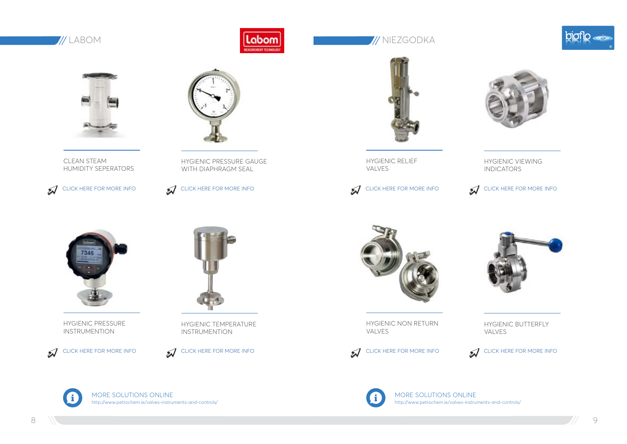

# **Mathematics of the contract of the contract of the contract of the contract of the contract of the contract of the contract of the contract of the contract of the contract of the contract of the contract of the contract o**



CLEAN STEAM HUMIDITY SEPERATORS



HYGIENIC PRESSURE GAUGE WITH DIAPHRAGM SEAL



HYGIENIC PRESSURE INSTRUMENTION





HYGIENIC TEMPERATURE INSTRUMENTION



HYGIENIC RELIEF VALVES

## HYGIENIC VIEWING INDICATORS

[CLICK HERE FOR MORE INFO](https://www.burkert.com/en/type/BBS-3F) **CLICK HERE FOR MORE INFO** 



HYGIENIC NON RETURN

VALVES



HYGIENIC BUTTERFLY VALVES

[CLICK HERE FOR MORE INFO](http://www.dpluk.co.uk/downloads/DPLBrochure2014.pdf)





MORE SOLUTIONS ONLINE http://www.petrochem.ie/valves-instruments-and-controls/









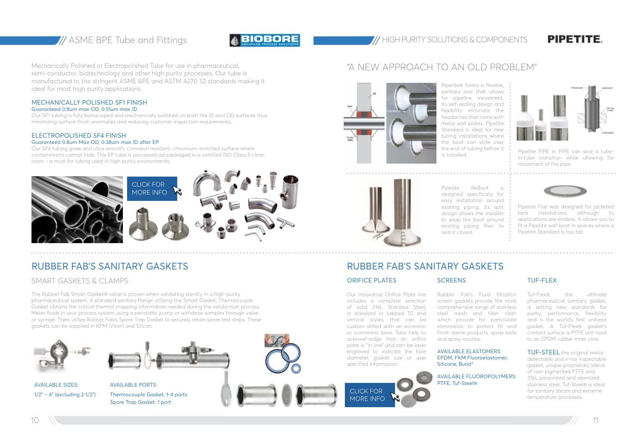

## ASME BPE Tube and Fittings **HIGBORE** HIGH PURITY SOLUTIONS & COMPONENTS

Mechanically Polished or Electropolished Tube for use in pharmaceutical, semi-conductor, biotechnology and other high purity processes. Our tube is manufactured to the stringent ASME BPE and ASTM A270 S2 standards making it ideal for most high purity applications.

## MECHANICALLY POLISHED SF1 FINISH

#### Guaranteed 0.8um max OD, 0.51um max ID

Our SF1 tubing is fully boroscoped and mechanically polished on both the ID and OD surfaces thus minimizing surface finish anomalies and reducing customer inspection requirements.

#### ELECTROPOLISHED SF4 FINISH

#### Guaranteed 0.8um Max OD, 0.38um max ID after EP

Our SF4 tubing gives and ultra-smooth, corrosion resistant, chromium, enriched surface where contaminants cannot hide. This EP tube is processed ad packaged in a certified ISO Class 5 clean room - a must for tubing used in high purity environments.

# "A NEW APPROACH TO AN OLD PROBLEM"



The Rubber Fab Smart Gasket® value is proven when validating sterility in a high-purity pharmaceutical system. A standard sanitary flange utilizing the Smart Gasket, Thermocouple Gasket obtains the critical thermal mapping information needed during the valida¬tion process. Meter fluids in your process system using a peristaltic pump or withdraw samples through valve or syringe. Then, utilize Rubber Fab's Spore Trap Gasket to securely retain spore test strips. These gaskets can be supplied in KFM (Viton) and Silicon.

#### ORIFICE PLATES

Pipetite ReBoot designed specifically for easy installation around existing piping. Its split design allows the installer to wrap the boot around existing piping then to seal it closed.

# RUBBER FAB'S SANITARY GASKETS THE RESERVED OF THE RUBBER FAB'S SANITARY GASKETS

#### Our innovative Orifice Plate line includes a complete selection of solid 316L Stainless Steel, in standard or tabbed TC and vertical styles, that can be custom drilled with an eccentric or concentric bore. Tabs help to acknowl¬edge that an orifice plate is "in line" and can be laser engraved to indicate the hole diameter, gasket size or user

specified information.

Rubber Fab's Fluid filtration screen gaskets provide the most comprehensive range of stainless steel mesh and filter cloth which provide for particulate elimination to protect fill and finish sterile products, spray balls and spray nozzles.

AVAILABLE ELASTOMERS: EPDM, FKM Fluoroelastomer, Silicone, Buna\*

AVAILABLE FLUOROPOLYMERS: PTFE, Tuf-Steel®

**PIPETITE** 

## TUF-FLEX

Tuf-Flex®, the ultimate pharmaceutical sanitary gasket, is setting new standards for purity, performance, flexibility and is the world's first unitized gasket. A Tuf-Flex® gasket's contact surface is PTFE unit¬ized to an EPDM rubber inner core.

TUF-STEEL the original metal detectable and x-ray inspectable gasket, unique proprietary blend of non-pigmented PTFE and 316L passivated and atomized stainless steel. Tuf-Steel® is ideal for sanitary steam and extreme temperature processes.



AVAILABLE SIZES: AVAILABLE PORTS:



1/2" – 4" (excluding 2-1/2") Thermocouple Gasket: 1-4 ports Spore Trap Gasket: 1 port



...............................

Pipetite® forms a flexible, sanitary seal that allows Its self-sealing design and flexibility eliminate the headaches that come with metal wall plates. Pipetite Standard is ideal for new tubing installations where the boot can slide over the end of tubing before it



for pipeline movement. is installed.



Pipetite PIPE in PIPE can seal a tubein-tube transition while allowing for movement of the pipe.



Pipetite Flat was designed for jacketed tank installations, although its applications are endless. It allows you to fit a Pipetite wall boot in spaces where a Pipetite Standard is too tall.



.............................

## SMART GASKETS & CLAMPS



**SCREENS**